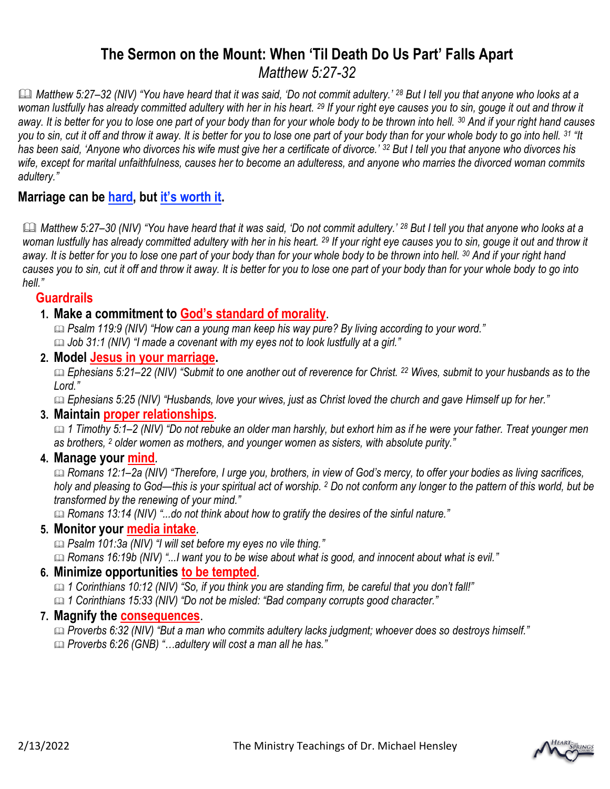# **The Sermon on the Mount: When 'Til Death Do Us Part' Falls Apart** *Matthew 5:27-32*

 *Matthew 5:27–32 (NIV) "You have heard that it was said, 'Do not commit adultery.' <sup>28</sup> But I tell you that anyone who looks at a woman lustfully has already committed adultery with her in his heart. <sup>29</sup> If your right eye causes you to sin, gouge it out and throw it away. It is better for you to lose one part of your body than for your whole body to be thrown into hell. <sup>30</sup> And if your right hand causes you to sin, cut it off and throw it away. It is better for you to lose one part of your body than for your whole body to go into hell. <sup>31</sup> "It*  has been said, 'Anyone who divorces his wife must give her a certificate of divorce.' <sup>32</sup> But I tell you that anyone who divorces his *wife, except for marital unfaithfulness, causes her to become an adulteress, and anyone who marries the divorced woman commits adultery."*

# **Marriage can be hard, but it's worth it.**

**<sup>1</sup>** Matthew 5:27–30 (NIV) "You have heard that it was said, 'Do not commit adultery.' <sup>28</sup> But I tell you that anyone who looks at a *woman lustfully has already committed adultery with her in his heart. <sup>29</sup> If your right eye causes you to sin, gouge it out and throw it away. It is better for you to lose one part of your body than for your whole body to be thrown into hell. <sup>30</sup> And if your right hand causes you to sin, cut it off and throw it away. It is better for you to lose one part of your body than for your whole body to go into hell."*

### **Guardrails**

**1. Make a commitment to God's standard of morality**.

 *Psalm 119:9 (NIV) "How can a young man keep his way pure? By living according to your word." Job 31:1 (NIV) "I made a covenant with my eyes not to look lustfully at a girl."*

**2. Model Jesus in your marriage.**

 *Ephesians 5:21–22 (NIV) "Submit to one another out of reverence for Christ. <sup>22</sup> Wives, submit to your husbands as to the Lord."*

*Ephesians 5:25 (NIV) "Husbands, love your wives, just as Christ loved the church and gave Himself up for her."*

#### **3. Maintain proper relationships***.*

 *1 Timothy 5:1–2 (NIV) "Do not rebuke an older man harshly, but exhort him as if he were your father. Treat younger men as brothers, <sup>2</sup> older women as mothers, and younger women as sisters, with absolute purity."* 

**4. Manage your mind***.*

 *Romans 12:1–2a (NIV) "Therefore, I urge you, brothers, in view of God's mercy, to offer your bodies as living sacrifices, holy and pleasing to God—this is your spiritual act of worship. <sup>2</sup> Do not conform any longer to the pattern of this world, but be transformed by the renewing of your mind."*

*Romans 13:14 (NIV) "...do not think about how to gratify the desires of the sinful nature."* 

## **5. Monitor your media intake***.*

*Psalm 101:3a (NIV) "I will set before my eyes no vile thing."*

*Romans 16:19b (NIV) "...I want you to be wise about what is good, and innocent about what is evil."*

#### **6. Minimize opportunities to be tempted***.*

 *1 Corinthians 10:12 (NIV) "So, if you think you are standing firm, be careful that you don't fall!" 1 Corinthians 15:33 (NIV) "Do not be misled: "Bad company corrupts good character."* 

## **7. Magnify the consequences**.

 *Proverbs 6:32 (NIV) "But a man who commits adultery lacks judgment; whoever does so destroys himself." Proverbs 6:26 (GNB) "…adultery will cost a man all he has."*